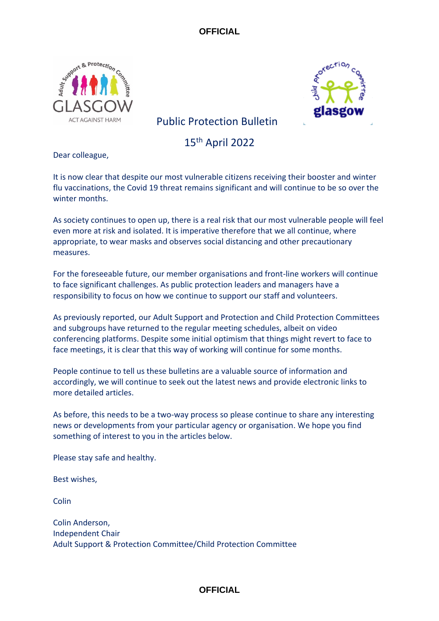



# Public Protection Bulletin

15th April 2022

Dear colleague,

It is now clear that despite our most vulnerable citizens receiving their booster and winter flu vaccinations, the Covid 19 threat remains significant and will continue to be so over the winter months.

As society continues to open up, there is a real risk that our most vulnerable people will feel even more at risk and isolated. It is imperative therefore that we all continue, where appropriate, to wear masks and observes social distancing and other precautionary measures.

For the foreseeable future, our member organisations and front-line workers will continue to face significant challenges. As public protection leaders and managers have a responsibility to focus on how we continue to support our staff and volunteers.

As previously reported, our Adult Support and Protection and Child Protection Committees and subgroups have returned to the regular meeting schedules, albeit on video conferencing platforms. Despite some initial optimism that things might revert to face to face meetings, it is clear that this way of working will continue for some months.

People continue to tell us these bulletins are a valuable source of information and accordingly, we will continue to seek out the latest news and provide electronic links to more detailed articles.

As before, this needs to be a two-way process so please continue to share any interesting news or developments from your particular agency or organisation. We hope you find something of interest to you in the articles below.

Please stay safe and healthy.

Best wishes,

**Colin** 

Colin Anderson, Independent Chair Adult Support & Protection Committee/Child Protection Committee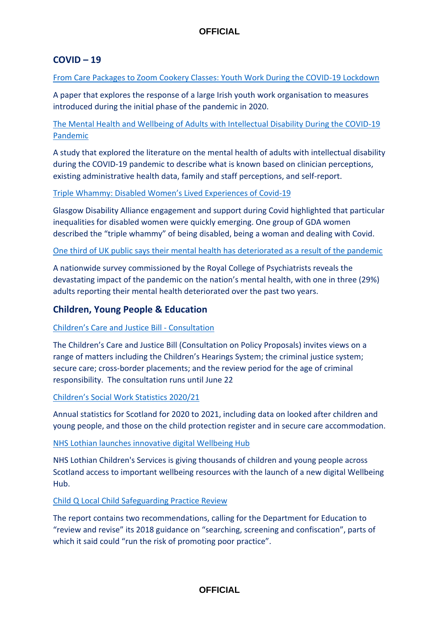### **COVID – 19**

[From Care Packages to Zoom Cookery Classes: Youth Work During the COVID-19 Lockdown](https://www.emerald.com/insight/content/doi/10.1108/JCS-06-2021-0027/full/html)

A paper that explores the response of a large Irish youth work organisation to measures introduced during the initial phase of the pandemic in 2020.

[The Mental Health and Wellbeing of Adults with Intellectual Disability During the COVID-19](https://onlinelibrary.wiley.com/doi/full/10.1111/jppi.12412)  [Pandemic](https://onlinelibrary.wiley.com/doi/full/10.1111/jppi.12412)

A study that explored the literature on the mental health of adults with intellectual disability during the COVID-19 pandemic to describe what is known based on clinician perceptions, existing administrative health data, family and staff perceptions, and self-report.

### [Triple Whammy: Disabled Women's Lived Experiences of Covid](file:///C:/Users/CM193171/Downloads/GDATripleWhammy-Summary%20(1).pdf)-19

Glasgow Disability Alliance engagement and support during Covid highlighted that particular inequalities for disabled women were quickly emerging. One group of GDA women described the "triple whammy" of being disabled, being a woman and dealing with Covid.

#### [One third of UK public says their mental health has deteriorated as a result of the pandemic](https://www.rcpsych.ac.uk/news-and-features/latest-news/detail/2022/03/22/one-third-of-uk-public-says-their-mental-health-has-deteriorated-as-a-result-of-the-pandemic)

A nationwide survey commissioned by the Royal College of Psychiatrists reveals the devastating impact of the pandemic on the nation's mental health, with one in three (29%) adults reporting their mental health deteriorated over the past two years.

## **Children, Young People & Education**

### [Children's Care and Justice Bill](https://www.gov.scot/publications/childrens-care-justice-bill-consultation-policy-proposals/) - Consultation

The Children's Care and Justice Bill (Consultation on Policy Proposals) invites views on a range of matters including the Children's Hearings System; the criminal justice system; secure care; cross-border placements; and the review period for the age of criminal responsibility. The consultation runs until June 22

#### [Children's Social Work Statistics 2020/21](https://www.gov.scot/publications/childrens-social-work-statistics-scotland-2020-21/)

Annual statistics for Scotland for 2020 to 2021, including data on looked after children and young people, and those on the child protection register and in secure care accommodation.

### [NHS Lothian launches innovative digital Wellbeing Hub](https://news.nhslothian.scot/Pages/20220328_WellbeingHubLaunch.aspx)

NHS Lothian Children's Services is giving thousands of children and young people across Scotland access to important wellbeing resources with the launch of a new digital Wellbeing Hub.

#### [Child Q Local Child Safeguarding Practice Review](https://chscp.org.uk/wp-content/uploads/2022/03/Child-Q-PUBLISHED-14-March-22.pdf)

The report contains two recommendations, calling for the Department for Education to "review and revise" its 2018 guidance on "searching, screening and confiscation", parts of which it said could "run the risk of promoting poor practice".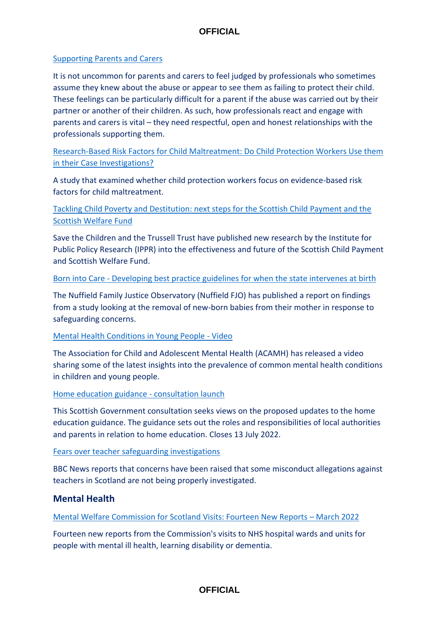### [Supporting Parents and Carers](https://www.csacentre.org.uk/documents/supporting-parents-and-carers-a-guide-for-those-working-with-families-affected-by-child-sexual-abuse/)

It is not uncommon for parents and carers to feel judged by professionals who sometimes assume they knew about the abuse or appear to see them as failing to protect their child. These feelings can be particularly difficult for a parent if the abuse was carried out by their partner or another of their children. As such, how professionals react and engage with parents and carers is vital – they need respectful, open and honest relationships with the professionals supporting them.

[Research-Based Risk Factors for Child Maltreatment: Do Child Protection Workers Use them](https://academic.oup.com/bjsw/advance-article/doi/10.1093/bjsw/bcac042/6547718)  [in their Case Investigations?](https://academic.oup.com/bjsw/advance-article/doi/10.1093/bjsw/bcac042/6547718)

A study that examined whether child protection workers focus on evidence-based risk factors for child maltreatment.

# [Tackling Child Poverty and Destitution: next steps for the Scottish Child Payment and the](https://www.savethechildren.org.uk/content/dam/gb/reports/scotland-tackling-child-poverty-and-destitution_003.pdf)  [Scottish Welfare Fund](https://www.savethechildren.org.uk/content/dam/gb/reports/scotland-tackling-child-poverty-and-destitution_003.pdf)

Save the Children and the Trussell Trust have published new research by the Institute for Public Policy Research (IPPR) into the effectiveness and future of the Scottish Child Payment and Scottish Welfare Fund.

### Born into Care - [Developing best practice guidelines for when the state intervenes at birth](https://www.nuffieldfjo.org.uk/wp-content/uploads/2022/02/nfjo_infant_removal_report_final_20220222_eng.pdf)

The Nuffield Family Justice Observatory (Nuffield FJO) has published a report on findings from a study looking at the removal of new-born babies from their mother in response to safeguarding concerns.

#### [Mental Health Conditions in Young People -](https://www.acamh.org/freeview/mental-health-conditions-young-people-recording/) Video

The Association for Child and Adolescent Mental Health (ACAMH) has released a video sharing some of the latest insights into the prevalence of common mental health conditions in children and young people.

#### [Home education guidance -](https://www.gov.scot/publications/home-education-guidance-consultation/) consultation launch

This Scottish Government consultation seeks views on the proposed updates to the home education guidance. The guidance sets out the roles and responsibilities of local authorities and parents in relation to home education. Closes 13 July 2022.

### [Fears over teacher safeguarding investigations](https://www.bbc.co.uk/news/uk-scotland-60820855)

BBC News reports that concerns have been raised that some misconduct allegations against teachers in Scotland are not being properly investigated.

# **Mental Health**

### [Mental Welfare Commission for Scotland Visits: Fourteen New Reports](https://www.mwcscot.org.uk/visits-investigations/local-visit-reports) – March 2022

Fourteen new reports from the Commission's visits to NHS hospital wards and units for people with mental ill health, learning disability or dementia.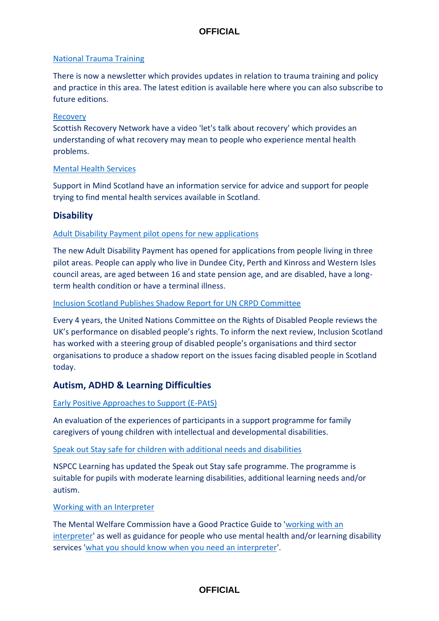### [National Trauma Training](https://mailchi.mp/8375ba5432f1/latest-news-on-trauma-informed-approaches-in-scotland-5092726?e=8b920bb71d)

There is now a newsletter which provides updates in relation to trauma training and policy and practice in this area. The latest edition is available here where you can also subscribe to future editions.

### [Recovery](https://cosla.us1.list-manage.com/track/click?u=d2ae243ca874c7fffb2eba37d&id=673fe02e00&e=ad03ab9568)

Scottish Recovery Network have a video ['let's talk about recovery'](https://cosla.us1.list-manage.com/track/click?u=d2ae243ca874c7fffb2eba37d&id=673fe02e00&e=ad03ab9568) which provides an understanding of what recovery may mean to people who experience mental health problems.

### [Mental Health Services](https://www.supportinmindscotland.org.uk/national-information-service)

Support in Mind Scotland have an information service for advice and support for people trying to find mental health services available in Scotland.

### **Disability**

### [Adult Disability Payment pilot opens for new applications](https://www.gov.scot/news/adult-disability-payment-pilot-opens-for-new-applications/)

The new Adult Disability Payment has opened for applications from people living in three pilot areas. People can apply who live in Dundee City, Perth and Kinross and Western Isles council areas, are aged between 16 and state pension age, and are disabled, have a longterm health condition or have a terminal illness.

### [Inclusion Scotland Publishes Shadow Report for UN CRPD Committee](https://inclusionscotland.org/get-informed/uncrpd-report)

Every 4 years, the United Nations Committee on the Rights of Disabled People reviews the UK's performance on disabled people's rights. To inform the next review, Inclusion Scotland has worked with a steering group of disabled people's organisations and third sector organisations to produce a shadow report on the issues facing disabled people in Scotland today.

# **Autism, ADHD & Learning Difficulties**

### [Early Positive Approaches to Support \(E-PAtS\)](https://onlinelibrary.wiley.com/doi/10.1111/jar.12993)

An evaluation of the experiences of participants in a support programme for family caregivers of young children with intellectual and developmental disabilities.

#### [Speak out Stay safe for children with additional needs and disabilities](https://learning.nspcc.org.uk/services/speak-out-stay-safe?utm_source=Adestra&utm_medium=email&utm_content=Speak%20out%20Stay%20safe%20SEND%2FASN%2FALN%20programme&utm_campaign=20220307_KIS_CASPAR_March07)

NSPCC Learning has updated the Speak out Stay safe programme. The programme is suitable for pupils with moderate learning disabilities, additional learning needs and/or autism.

#### [Working with an Interpreter](https://cosla.us1.list-manage.com/track/click?u=d2ae243ca874c7fffb2eba37d&id=cec0a282a9&e=ad03ab9568)

The Mental Welfare Commission have a Good Practice Guide to ['working with an](https://cosla.us1.list-manage.com/track/click?u=d2ae243ca874c7fffb2eba37d&id=35a39f8b1f&e=ad03ab9568)  [interpreter'](https://cosla.us1.list-manage.com/track/click?u=d2ae243ca874c7fffb2eba37d&id=35a39f8b1f&e=ad03ab9568) as well as guidance for people who use mental health and/or learning disability services ['what you should know when you need an interpreter'](https://cosla.us1.list-manage.com/track/click?u=d2ae243ca874c7fffb2eba37d&id=b8f025197d&e=ad03ab9568).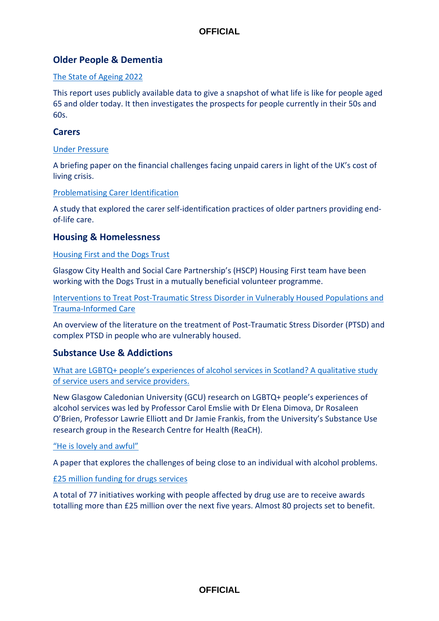# **Older People & Dementia**

### [The State of Ageing 2022](https://ageing-better.org.uk/state-of-ageing)

This report uses publicly available data to give a snapshot of what life is like for people aged 65 and older today. It then investigates the prospects for people currently in their 50s and 60s.

### **Carers**

### [Under Pressure](https://www.carersuk.org/images/Carers_UK_research_briefing__-_Under_Pressure_-_Caring_and_the_cost_of_living_crisis.pdf)

A briefing paper on the financial challenges facing unpaid carers in light of the UK's cost of living crisis.

### [Problematising Carer Identification](https://doi.org/10.1016/j.ssmqr.2021.100015)

A study that explored the carer self-identification practices of older partners providing endof-life care.

### **Housing & Homelessness**

### [Housing First and the Dogs Trust](https://glasgowcity.hscp.scot/news/housing-first-and-dogs-trust)

Glasgow City Health and Social Care Partnership's (HSCP) Housing First team have been working with the Dogs Trust in a mutually beneficial volunteer programme.

[Interventions to Treat Post-Traumatic Stress Disorder in Vulnerably Housed Populations and](https://bmjopen.bmj.com/content/12/3/e051079)  [Trauma-Informed Care](https://bmjopen.bmj.com/content/12/3/e051079)

An overview of the literature on the treatment of Post-Traumatic Stress Disorder (PTSD) and complex PTSD in people who are vulnerably housed.

# **Substance Use & Addictions**

[What are LGBTQ+ people's experiences of alcohol services in Scotland? A qualitative study](https://shaap.org.uk/downloads/reports/408-lgbtq-alcohol-services-2022.html)  [of service users and service providers.](https://shaap.org.uk/downloads/reports/408-lgbtq-alcohol-services-2022.html)

New Glasgow Caledonian University (GCU) research on LGBTQ+ people's experiences of alcohol services was led by Professor Carol Emslie with Dr Elena Dimova, Dr Rosaleen O'Brien, Professor Lawrie Elliott and Dr Jamie Frankis, from the University's Substance Use research group in the Research Centre for Health (ReaCH).

#### ["He is lovely and awful"](https://journals.sagepub.com/doi/full/10.1177/14550725211044861)

A paper that explores the challenges of being close to an individual with alcohol problems.

### [£25 million funding for drugs services](https://www.gov.scot/news/gbp-25-million-funding-for-drugs-services/)

A total of 77 initiatives working with people affected by drug use are to receive awards totalling more than £25 million over the next five years. Almost 80 projects set to benefit.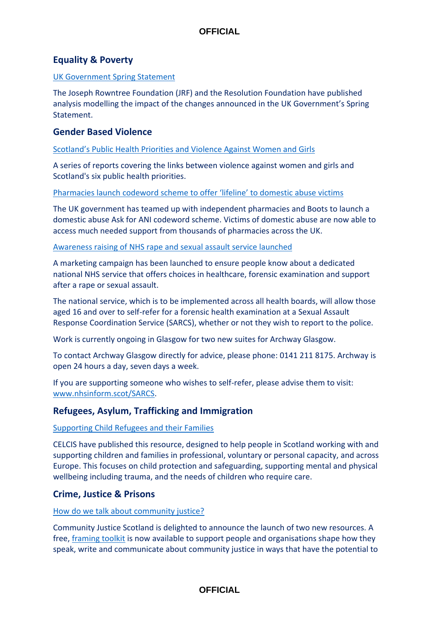# **Equality & Poverty**

#### [UK Government Spring Statement](https://www.resolutionfoundation.org/press-releases/33284/)

The Joseph Rowntree Foundation (JRF) and the Resolution Foundation have published analysis modelling the impact of the changes announced in the UK Government's Spring Statement.

### **Gender Based Violence**

### [Scotland's Public Health Priorities and Violence Against Women and Girls](https://publichealthscotland.scot/publications/scotland-s-public-health-priorities-and-violence-against-women-and-girls/)

A series of reports covering the links between violence against women and girls and Scotland's six public health priorities.

[Pharmacies launch codeword scheme to offer 'lifeline' to domestic abuse victims](https://www.homeofficesurveys.homeoffice.gov.uk/s/0HK4AO/)

The UK government has teamed up with independent pharmacies and Boots to launch a domestic abuse Ask for ANI codeword scheme. Victims of domestic abuse are now able to access much needed support from thousands of pharmacies across the UK.

[Awareness raising of NHS rape and sexual assault service launched](https://www.gov.scot/news/awareness-raising-of-nhs-rape-and-sexual-assault-service-launched/)

A marketing campaign has been launched to ensure people know about a dedicated national NHS service that offers choices in healthcare, forensic examination and support after a rape or sexual assault.

The national service, which is to be implemented across all health boards, will allow those aged 16 and over to self-refer for a forensic health examination at a Sexual Assault Response Coordination Service (SARCS), whether or not they wish to report to the police.

Work is currently ongoing in Glasgow for two new suites for Archway Glasgow.

To contact Archway Glasgow directly for advice, please phone: 0141 211 8175. Archway is open 24 hours a day, seven days a week.

If you are supporting someone who wishes to self-refer, please advise them to visit: [www.nhsinform.scot/SARCS.](http://www.nhsinform.scot/SARCS)

# **Refugees, Asylum, Trafficking and Immigration**

### [Supporting Child Refugees and their Families](https://celcis.org/knowledge-bank/protecting-children/supporting-child-refugees-and-their-families?utm_medium=email&utm_campaign=New%20online%20resource%20Supporting%20child%20refugees%20and%20their%20families&utm_content=New%20online%20resource%20Supporting%20child%20refugees%20and%20their%20families+CID_509da980a4186e558272e4e1941f0b38&utm_source=Email%20marketing%20software&utm_term=View%20the%20online%20resource)

CELCIS have published this resource, designed to help people in Scotland working with and supporting children and families in professional, voluntary or personal capacity, and across Europe. This focuses on child protection and safeguarding, supporting mental and physical wellbeing including trauma, and the needs of children who require care.

# **Crime, Justice & Prisons**

#### [How do we talk about community justice?](https://communityjustice.scot/news/how-do-we-talk-about-community-justice/)

Community Justice Scotland is delighted to announce the launch of two new resources. A free, [framing toolkit](https://communityjustice.scot/wp-content/uploads/2022/02/Community-Justice-Scotland-Framing-Toolkit-Full-Version.pdf) is now available to support people and organisations shape how they speak, write and communicate about community justice in ways that have the potential to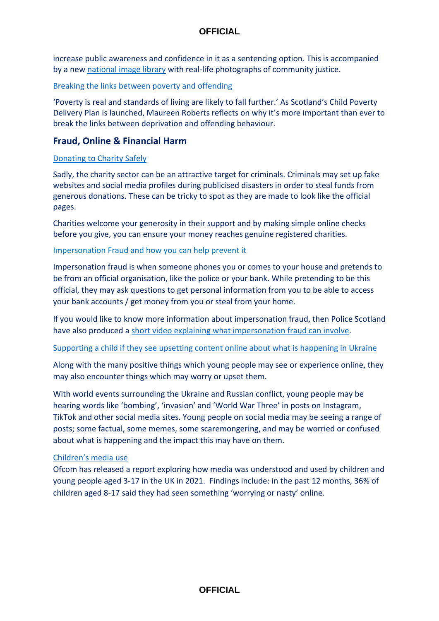increase public awareness and confidence in it as a sentencing option. This is accompanied by a new [national image library](https://www.flickr.com/photos/193682195@N04/albums) with real-life photographs of community justice.

### [Breaking the links between poverty and offending](https://www.cycj.org.uk/poverty-and-offending/)

'Poverty is real and standards of living are likely to fall further.' As Scotland's Child Poverty Delivery Plan is launched, Maureen Roberts reflects on why it's more important than ever to break the links between deprivation and offending behaviour.

## **Fraud, Online & Financial Harm**

### [Donating to Charity Safely](https://www.cyberscotland.com/donating-to-charity-safely/)

Sadly, the charity sector can be an attractive target for criminals. Criminals may set up fake websites and social media profiles during publicised disasters in order to steal funds from generous donations. These can be tricky to spot as they are made to look like the official pages.

Charities welcome your generosity in their support and by making simple online checks before you give, you can ensure your money reaches genuine registered charities.

### Impersonation Fraud and how you can help prevent it

Impersonation fraud is when someone phones you or comes to your house and pretends to be from an official organisation, like the police or your bank. While pretending to be this official, they may ask questions to get personal information from you to be able to access your bank accounts / get money from you or steal from your home.

If you would like to know more information about impersonation fraud, then Police Scotland have also produced a [short video explaining what impersonation fraud can involve.](https://biteable.com/watch/3449618/c01f1e13a725df1d4882e64fa00460c2)

[Supporting a child if they see upsetting content online about what is happening in Ukraine](https://saferinternet.org.uk/blog/supporting-your-child-online)

Along with the many positive things which young people may see or experience online, they may also encounter things which may worry or upset them.

With world events surrounding the Ukraine and Russian conflict, young people may be hearing words like 'bombing', 'invasion' and 'World War Three' in posts on Instagram, TikTok and other social media sites. Young people on social media may be seeing a range of posts; some factual, some memes, some scaremongering, and may be worried or confused about what is happening and the impact this may have on them.

#### [Children's media use](https://www.ofcom.org.uk/research-and-data/media-literacy-research/childrens/children-and-parents-media-use-and-attitudes-report-2022)

Ofcom has released a report exploring how media was understood and used by children and young people aged 3-17 in the UK in 2021. Findings include: in the past 12 months, 36% of children aged 8-17 said they had seen something 'worrying or nasty' online.